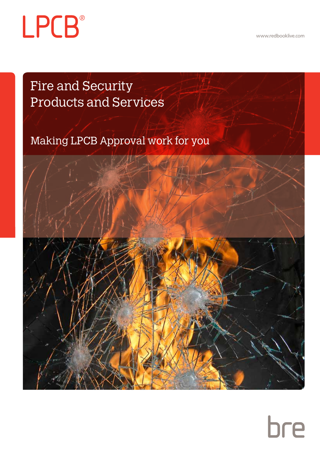www.redbooklive.com

# **LPCB**®

Fire and Security Products and Services

Making LPCB Approval work for you

## bre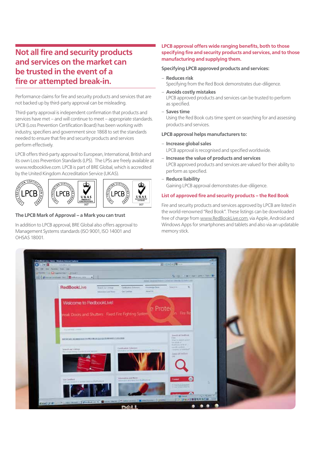## **Not all fire and security products and services on the market can be trusted in the event of a fire or attempted break-in.**

Performance claims for fire and security products and services that are not backed up by third-party approval can be misleading.

Third-party approval is independent confirmation that products and services have met – and will continue to meet – appropriate standards. LPCB (Loss Prevention Certification Board) has been working with industry, specifiers and government since 1868 to set the standards needed to ensure that fire and security products and services perform effectively.

LPCB offers third-party approval to European, International, British and its own Loss Prevention Standards (LPS). The LPSs are freely available at www.redbooklive.com. LPCB is part of BRE Global, which is accredited by the United Kingdom Accreditation Service (UKAS).

## PCB **I PCB**





#### **The LPCB Mark of Approval – a Mark you can trust**

In addition to LPCB approval, BRE Global also offers approval to Management Systems standards (ISO 9001, ISO 14001 and OHSAS 18001.

#### **LPCB approval offers wide ranging benefits, both to those specifying fire and security products and services, and to those manufacturing and supplying them.**

#### **Specifying LPCB approved products and services:**

- **Reduces risk** Specifying from the Red Book demonstrates due-diligence.
- 
- **Avoids costly mistakes**  LPCB approved products and services can be trusted to perform as specified.
- **Saves time**

Using the Red Book cuts time spent on searching for and assessing products and services.

#### **LPCB approval helps manufacturers to:**

- **Increase global sales**
	- LPCB approval is recognised and specified worldwide.
- **Increase the value of products and services** LPCB approved products and services are valued for their ability to perform as specified.
- **Reduce liability**  Gaining LPCB approval demonstrates due-diligence.

#### **List of approved fire and security products – the Red Book**

Fire and security products and services approved by LPCB are listed in the world-renowned "Red Book". These listings can be downloaded free of charge from www.RedBookLive.com, via Apple, Android and Windows Apps for smartphones and tablets and also via an updatable memory stick.

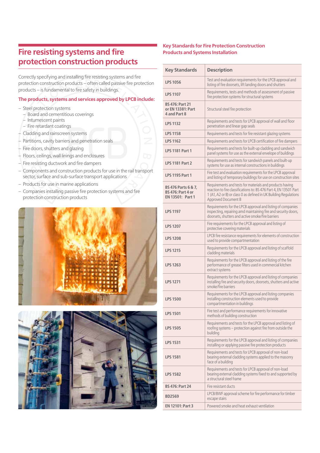## **Fire resisting systems and fire protection construction products**

Correctly specifying and installing fire resisting systems and fire protection construction products – often called passive fire protection products – is fundamental to fire safety in buildings.

#### **The products, systems and services approved by LPCB include:**

- Steel protection systems
	- Board and cementitious coverings
	- Intumescent paints
	- Fire retardant coatings
- Cladding and rainscreen systems
- Partitions, cavity barriers and penetration seals
- Fire doors, shutters and glazing
- Floors, ceilings, wall linings and enclosures
- Fire resisting ductwork and fire dampers
- Components and construction products for use in the rail transport sector, surface and sub-surface transport applications
- Products for use in marine applications
- Companies installing passive fire protection systems and fire protection construction products





#### **Key Standards for Fire Protection Construction Products and Systems Installation**

| <b>Key Standards</b>                                                | <b>Description</b>                                                                                                                                                                                                       |
|---------------------------------------------------------------------|--------------------------------------------------------------------------------------------------------------------------------------------------------------------------------------------------------------------------|
| <b>LPS 1056</b>                                                     | Test and evaluation requirements for the LPCB approval and<br>listing of fire doorsets, lift landing doors and shutters                                                                                                  |
| <b>LPS 1107</b>                                                     | Requirements, tests and methods of assessment of passive<br>fire protection systems for structural systems                                                                                                               |
| <b>BS 476: Part 21</b><br>or EN 13381: Part<br>4 and Part 8         | Structural steel fire protection                                                                                                                                                                                         |
| <b>LPS 1132</b>                                                     | Requirements and tests for LPCB approval of wall and floor<br>penetration and linear gap seals                                                                                                                           |
| <b>LPS 1158</b>                                                     | Requirements and tests for fire resistant glazing systems                                                                                                                                                                |
| <b>LPS 1162</b>                                                     | Requirements and tests for LPCB certification of fire dampers                                                                                                                                                            |
| <b>LPS 1181 Part 1</b>                                              | Requirements and tests for built-up cladding and sandwich<br>panel systems for use as the external envelope of buildings                                                                                                 |
| <b>LPS 1181 Part 2</b>                                              | Requirements and tests for sandwich panels and built-up<br>systems for use as internal constructions in buildings                                                                                                        |
| <b>LPS 1195 Part 1</b>                                              | Fire test and evaluation requirements for the LPCB approval<br>and listing of temporary buildings for use on construction sites                                                                                          |
| BS 476 Parts 6 & 7,<br><b>BS 476: Part 4 or</b><br>EN 13501: Part 1 | Requirements and tests for materials and products having<br>reaction to fire classifications to: BS 476 Part 4, EN 13501 Part<br>1 (A1, A2 or B) or class 0 as defined in UK Building Regulations<br>Approved Document B |
| <b>LPS 1197</b>                                                     | Requirements for the LPCB approval and listing of companies<br>inspecting, repairing amd maintaining fire and security doors,<br>doorsets, shutters and active smoke/fire barriers                                       |
| <b>LPS 1207</b>                                                     | Fire requirements for the LPCB approval and listing of<br>protective covering materials                                                                                                                                  |
| <b>LPS 1208</b>                                                     | LPCB fire resistance requirements for elements of construction<br>used to provide compartmentation                                                                                                                       |
| <b>LPS 1215</b>                                                     | Requirements for the LPCB approval and listing of scaffold<br>cladding materials                                                                                                                                         |
| <b>LPS 1263</b>                                                     | Requirements for the LPCB approval and listing of the fire<br>performance of grease filters used in commercial kitchen<br>extract systems                                                                                |
| <b>LPS 1271</b>                                                     | Requirements for the LPCB approval and listing of companies<br>installing fire and security doors, doorsets, shutters and active<br>smoke/fire barriers                                                                  |
| <b>LPS 1500</b>                                                     | Requirements for the LPCB approval and listing companies<br>installing construction elements used to provide<br>compartmentation in buildings                                                                            |
| <b>LPS 1501</b>                                                     | Fire test and performance requirements for innovative<br>methods of building construction                                                                                                                                |
| <b>LPS 1505</b>                                                     | Requirements and tests for the LPCB approval and listing of<br>roofing systems - protection against fire from outside the<br>building                                                                                    |
| <b>LPS 1531</b>                                                     | Requirements for the LPCB approval and listing of companies<br>installing or applying passive fire protection products                                                                                                   |
| <b>LPS 1581</b>                                                     | Requirements and tests for LPCB approval of non-load<br>bearing external cladding systems applied to the masonry<br>face of a building                                                                                   |
| <b>LPS 1582</b>                                                     | Requirements and tests for LPCB approval of non-load<br>bearing external cladding systems fixed to and supported by<br>a structural steel frame                                                                          |
| <b>BS 476: Part 24</b>                                              | Fire resistant ducts                                                                                                                                                                                                     |
| <b>BD2569</b>                                                       | LPCB/BWF approval scheme for fire performance for timber<br>escape stairs                                                                                                                                                |
| EN 12101: Part 3                                                    | Powered smoke and heat exhaust ventilation                                                                                                                                                                               |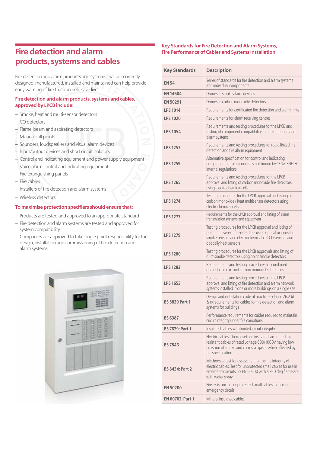## **Fire detection and alarm products, systems and cables**

Fire detection and alarm products and systems that are correctly designed, manufactured, installed and maintained can help provide early warning of fire that can help save lives.

#### **Fire detection and alarm products, systems and cables, approved by LPCB include:**

- Smoke, heat and multi-sensor detectors
- CO detectors
- Flame, beam and aspirating detectors
- Manual call points
- Sounders, loudspeakers and visual alarm devices
- Input/output devices and short circuit isolators
- Control and indicating equipment and power supply equipment
- Voice alarm control and indicating equipment
- Fire extinguishing panels
- Fire cables
- Installers of fire detection and alarm systems
- Wireless detectors

#### **To maximise protection specifiers should ensure that:**

- Products are tested and approved to an appropriate standard
- Fire detection and alarm systems are tested and approved for system compatibility
- Companies are approved to take single point responsibility for the design, installation and commissioning of fire detection and alarm systems



#### **Key Standards for Fire Detection and Alarm Systems, Fire Performance of Cables and Systems Installation**

| <b>Key Standards</b>    | <b>Description</b>                                                                                                                                                                                         |
|-------------------------|------------------------------------------------------------------------------------------------------------------------------------------------------------------------------------------------------------|
| <b>EN 54</b>            | Series of standards for fire detection and alarm systems<br>and individual components                                                                                                                      |
| <b>EN 14604</b>         | Domestic smoke alarm devices                                                                                                                                                                               |
| <b>EN 50291</b>         | Domestic carbon monoxide detectors                                                                                                                                                                         |
| <b>LPS 1014</b>         | Requirements for certificated fire detection and alarm firms                                                                                                                                               |
| <b>LPS 1020</b>         | Requirements for alarm receiving centres                                                                                                                                                                   |
| <b>LPS 1054</b>         | Requirements and testing procedures for the LPCB and<br>testing of component compatibility for fire detection and<br>alarm systems                                                                         |
| <b>LPS 1257</b>         | Requirements and testing procedures for radio linked fire<br>detection and fire alarm equipment                                                                                                            |
| <b>LPS 1259</b>         | Alternative specification for control and indicating<br>equipment for use in countries not bound by CEN/CENELEC<br>internal regulations                                                                    |
| <b>LPS 1265</b>         | Requirements and testing procedures for the LPCB<br>approval and listing of carbon monoxide fire detectors<br>using electrochemical cells                                                                  |
| <b>LPS 1274</b>         | Testing procedures for the LPCB approval and listing of<br>carbon monoxide / heat multisensor detectors using<br>electrochemical cells                                                                     |
| <b>LPS 1277</b>         | Requirements for the LPCB approval and listing of alarm<br>transmission systems and equipment                                                                                                              |
| <b>LPS 1279</b>         | Testing procedures for the LPCB approval and listing of<br>point multisensor fire detectors using optical or ionization<br>smoke sensors and electrochemical cell CO sensors and<br>optically heat sensors |
| <b>LPS 1280</b>         | Testing procedures for the LPCB approvals and listing of<br>duct smoke detectors using point smoke detectors                                                                                               |
| <b>LPS 1282</b>         | Requirements and testing procedures for combined<br>domestic smoke and carbon monoxide detectors                                                                                                           |
| <b>LPS 1653</b>         | Requirements and testing procedures for the LPCB<br>approval and listing of fire detection and alarm network<br>systems installed in one or more buildings on a single site                                |
| <b>BS 5839 Part 1</b>   | Design and installation code of practice - clause 26.2 (d<br>& e) requirements for cables for fire detection and alarm<br>systems for buildings                                                            |
| <b>BS 6387</b>          | Performance requirements for cables required to maintain<br>circuit integrity under fire conditions                                                                                                        |
| <b>BS 7629: Part 1</b>  | Insulated cables with limited circuit integrity                                                                                                                                                            |
| <b>BS 7846</b>          | Electric cables. Thermosetting insulated, armoured, fire<br>resistant cables of rated voltage 600/1000V having low<br>emission of smoke and corrosive gases when affected by<br>fire specification         |
| <b>BS 8434: Part 2</b>  | Methods of test for assessment of the fire integrity of<br>electric cables. Test for unprotected small cables for use in<br>emergency circuits. BS EN 50200 with a 930 deg flame and<br>with water spray   |
| <b>EN 50200</b>         | Fire resistance of unprotected small cables for use in<br>emergency circuit                                                                                                                                |
| <b>EN 60702: Part 1</b> | Mineral insulated cables                                                                                                                                                                                   |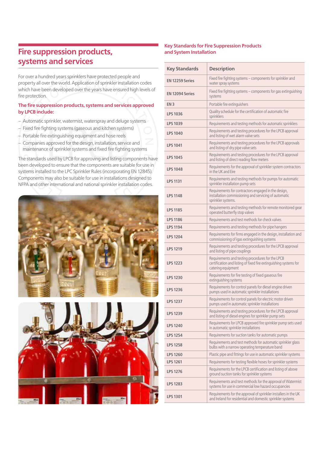## **Fire suppression products, systems and services**

For over a hundred years sprinklers have protected people and property all over the world. Application of sprinkler installation codes which have been developed over the years have ensured high levels of fire protection.

#### **The fire suppression products, systems and services approved by LPCB include:**

- Automatic sprinkler, watermist, waterspray and deluge systems
- Fixed fire fighting systems (gaseous and kitchen systems)
- Portable fire extinguishing equipment and hose reels
- Companies approved for the design, installation, service and maintenance of sprinkler systems and fixed fire fighting systems

The standards used by LPCB for approving and listing components have been developed to ensure that the components are suitable for use in systems installed to the LPC Sprinkler Rules (incorporating EN 12845). Components may also be suitable for use in installations designed to NFPA and other international and national sprinkler installation codes.





#### **Key Standards for Fire Suppression Products and System Installation**

| <b>Key Standards</b>   | <b>Description</b>                                                                                                                          |
|------------------------|---------------------------------------------------------------------------------------------------------------------------------------------|
| <b>EN 12259 Series</b> | Fixed fire fighting systems - components for sprinkler and<br>water spray systems                                                           |
| <b>EN 12094 Series</b> | Fixed fire fighting systems - components for gas extinguishing<br>systems                                                                   |
| EN <sub>3</sub>        | Portable fire extinguishers                                                                                                                 |
| <b>LPS 1036</b>        | Quality schedule for the certification of automatic fire<br>sprinklers                                                                      |
| <b>LPS 1039</b>        | Requirements and testing methods for automatic sprinklers                                                                                   |
| <b>LPS 1040</b>        | Requirements and testing procedures for the LPCB approval<br>and listing of wet alarm valve sets                                            |
| <b>LPS 1041</b>        | Requirements and testing procedures for the LPCB approvals<br>and listing of dry pipe valve sets                                            |
| <b>LPS 1045</b>        | Requirements and testing procedures for the LPCB approval<br>and listing of direct reading flow meters                                      |
| <b>LPS 1048</b>        | Requirements for the approval of sprinkler system contractors<br>in the UK and Eire                                                         |
| <b>LPS 1131</b>        | Requirements and testing methods for pumps for automatic<br>sprinkler installation pump sets                                                |
| <b>LPS 1148</b>        | Requirements for contractors engaged in the design,<br>installation commissioning and servicing of automatic<br>sprinkler systems.          |
| <b>LPS 1185</b>        | Requirements and testing methods for remote monitored gear<br>operated butterfly stop valves                                                |
| <b>LPS 1186</b>        | Requirements and test methods for check valves                                                                                              |
| <b>LPS 1194</b>        | Requirements and testing methods for pipe hangers                                                                                           |
| <b>LPS 1204</b>        | Requirements for firms engaged in the design, installation and<br>commissioning of igas extinguishing systems                               |
| <b>LPS 1219</b>        | Requirements and testing procedures for the LPCB approval<br>and listing of pipe couplings                                                  |
| <b>LPS 1223</b>        | Requirements and testing procedures for the LPCB<br>certification and listing of fixed fire extinguishing systems for<br>catering equipment |
| <b>LPS 1230</b>        | Requirements for fire testing of fixed gaseous fire<br>extinguishing systems                                                                |
| <b>LPS 1236</b>        | Requirements for control panels for diesel engine driven<br>pumps used in automatic sprinkler installations                                 |
| <b>LPS 1237</b>        | Requirements for control panels for electric motor driven<br>pumps used in automatic sprinkler installations                                |
| <b>LPS 1239</b>        | Requirements and testing procedures for the LPCB approval<br>and listing of diesel engines for sprinkler pump sets                          |
| <b>LPS 1240</b>        | Requirements for LPCB approved fire sprinkler pump sets used<br>in automatic sprinkler installations                                        |
| <b>LPS 1254</b>        | Requirements for suction tanks for automatic pumps                                                                                          |
| <b>LPS 1258</b>        | Requirements and test methods for automatic sprinkler glass<br>bulbs with a narrow operating temperature band                               |
| <b>LPS 1260</b>        | Plastic pipe and fittings for use in automatic sprinkler systems                                                                            |
| <b>LPS 1261</b>        | Requirements for testing flexible hoses for sprinkler systems                                                                               |
| <b>LPS 1276</b>        | Requirements for the LPCB certification and listing of above<br>ground suction tanks for sprinkler systems                                  |
| <b>LPS 1283</b>        | Requirements and test methods for the approval of Watermist<br>systems for use in commercial low hazard occupancies                         |
| <b>LPS 1301</b>        | Requirements for the approval of sprinkler installers in the UK<br>and Ireland for residential and domestic sprinkler systems               |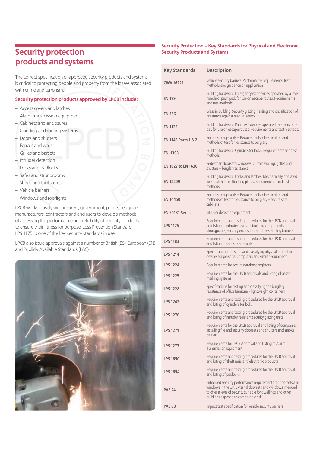## **Security protection products and systems**

The correct specification of approved security products and systems is critical to protecting people and property from the losses associated with crime and terrorism.

#### **Security protection products approved by LPCB include:**

- Access covers and latches
- Alarm transmission equipment
- Cabinets and enclosures
- Cladding and roofing systems
- Doors and shutters
- Fences and walls
- Grilles and barsets
- Intruder detection
- Locks and padlocks
- Safes and strongrooms
- Sheds and tool stores
- Vehicle barriers
- Windows and rooflights

LPCB works closely with insurers, government, police, designers, manufacturers, contractors and end users to develop methods of assessing the performance and reliability of security products to ensure their fitness for purpose. Loss Prevention Standard, LPS 1175, is one of the key security standards in use.

LPCB also issue approvals against a number of British (BS), European (EN) and Publicly Available Standards (PAS).



#### **Security Protection – Key Standards for Physical and Electronic Security Products and Systems**

| <b>Key Standards</b>           | <b>Description</b>                                                                                                                                                                                                                |
|--------------------------------|-----------------------------------------------------------------------------------------------------------------------------------------------------------------------------------------------------------------------------------|
| <b>CWA 16221</b>               | Vehicle security barriers Performance requirements, test<br>methods and quidance on application                                                                                                                                   |
| <b>EN 179</b>                  | Building hardware. Emergency exit devices operated by a lever<br>handle or push pad, for use on escape routes. Requirements<br>and test methods.                                                                                  |
| <b>EN 356</b>                  | Glass in building Security glazing Testing and classification of<br>resistance against manual attack                                                                                                                              |
| <b>EN 1125</b>                 | Building hardware. Panic exit devices operated by a horizontal<br>bar, for use on escape routes. Requirements and test methods.                                                                                                   |
| <b>EN 1143 Parts 1 &amp; 2</b> | Secure storage units - Requirements, classification and<br>methods of test for resistance to burglary                                                                                                                             |
| <b>EN 1303</b>                 | Building hardware. Cylinders for locks. Requirements and test<br>methods.                                                                                                                                                         |
| <b>EN 1627 to EN 1630</b>      | Pedestrian doorsets, windows, curtain walling, grilles and<br>shutters - burglar resistance                                                                                                                                       |
| <b>EN 12209</b>                | Building hardware. Locks and latches. Mechanically operated<br>locks, latches and locking plates. Requirements and test<br>methods.                                                                                               |
| <b>EN 14450</b>                | Secure storage units - Requirements, classification and<br>methods of test for resistance to burglary - secure safe<br>cabinets                                                                                                   |
| <b>EN 50131 Series</b>         | Intruder detection equipment                                                                                                                                                                                                      |
| <b>LPS 1175</b>                | Requirements and testing procedures for the LPCB approval<br>and listing of intruder resistant building components,<br>strongpoints, security enclosures and freestanding barriers                                                |
| <b>LPS 1183</b>                | Requirements and testing procedures for the LPCB approval<br>and listing of safe storage units                                                                                                                                    |
| <b>LPS 1214</b>                | Specification for testing and classifying physical protection<br>devices for personal computers and similar equipment                                                                                                             |
| <b>LPS 1224</b>                | Requirements for secure database registers                                                                                                                                                                                        |
| <b>LPS 1225</b>                | Requirements for the LPCB approvals and listing of asset<br>marking systems                                                                                                                                                       |
| <b>LPS 1228</b>                | Specifications for testing and classifying the burglary<br>resistance of office furniture - lightweight containers                                                                                                                |
| <b>LPS 1242</b>                | Requirements and testing procedures for the LPCB approval<br>and listing of cylinders for locks                                                                                                                                   |
| <b>LPS 1270</b>                | Requirements and testing procedures for the LPCB approval<br>and listing of intruder resistant security glazing units                                                                                                             |
| <b>LPS 1271</b>                | Requirements for the LPCB approval and listing of companies<br>installing fire and security doorsets and shutters and smoke<br>barriers                                                                                           |
| <b>LPS 1277</b>                | Requirements for LPCB Approval and Listing of Alarm<br><b>Transmission Equipment</b>                                                                                                                                              |
| <b>LPS 1650</b>                | Requirements and testing procedures for the LPCB approval<br>and listing of 'theft resistant' electronic products                                                                                                                 |
| <b>LPS 1654</b>                | Requirements and testing procedures for the LPCB approval<br>and listing of padlocks                                                                                                                                              |
| <b>PAS 24</b>                  | Enhanced security performance requirements for doorsets and<br>windows in the UK. External doorsets and windows intended<br>to offer a level of security suitable for dwellings and other<br>buildings exposed to comparable risk |
| <b>PAS 68</b>                  | Impact test specification for vehicle security barriers                                                                                                                                                                           |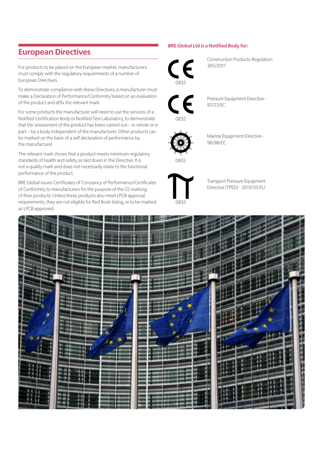### **European Directives**

For products to be placed on the European market, manufacturers must comply with the regulatory requirements of a number of European Directives.

To demonstrate compliance with these Directives, a manufacturer must make a Declaration of Performance/Conformity based on an evaluation of the product and affix the relevant mark.

For some products the manufacturer will need to use the services of a Notified Certification Body or Notified Test Laboratory, to demonstrate that the assessment of the product has been carried out – in whole or in part – by a body independent of the manufacturer. Other products can be marked on the basis of a self declaration of performance by the manufacturer.

The relevant mark shows that a product meets minimum regulatory standards of health and safety as laid down in the Directive. It is not a quality mark and does not necessarily relate to the functional performance of the product.

BRE Global issues Certificates of Constancy of Performance/Certificates of Conformity to manufacturers for the purpose of the CE marking of their products. Unless these products also meet LPCB approval requirements, they are not eligible for Red Book listing, or to be marked as LPCB approved.

#### **BRE Global Ltd is a Notified Body for:**



Construction Products Regulation 305/2011

Pressure Equipment Directive - 97/23/EC



0832

0832

Marine Equipment Directive - 96/98/EC



Transport Pressure Equipment Directive (TPED) - 2010/35/EU